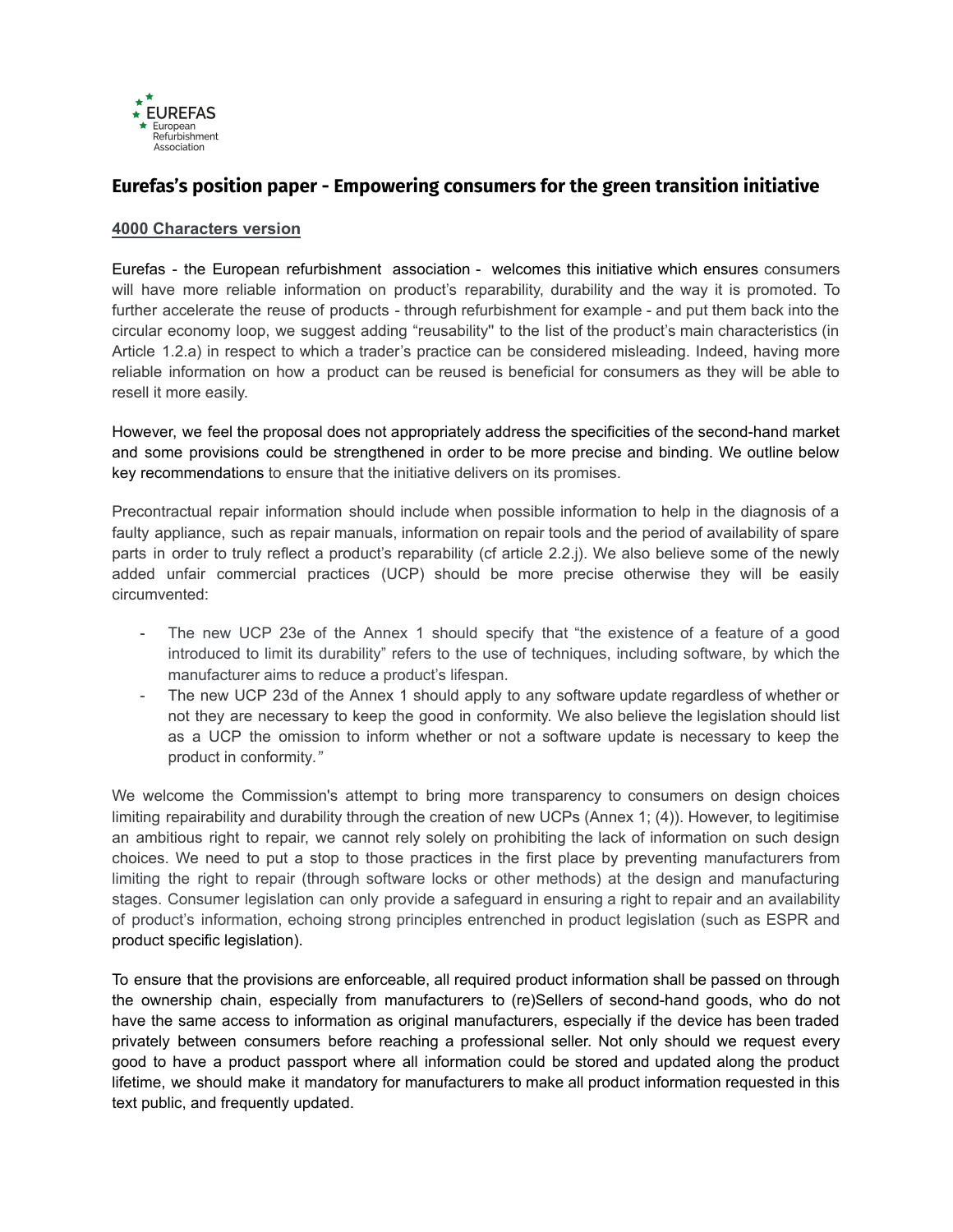

## **Eurefas's position paper - Empowering consumers for the green transition initiative**

## **4000 Characters version**

Eurefas - the European refurbishment association - welcomes this initiative which ensures consumers will have more reliable information on product's reparability, durability and the way it is promoted. To further accelerate the reuse of products - through refurbishment for example - and put them back into the circular economy loop, we suggest adding "reusability'' to the list of the product's main characteristics (in Article 1.2.a) in respect to which a trader's practice can be considered misleading. Indeed, having more reliable information on how a product can be reused is beneficial for consumers as they will be able to resell it more easily.

However, we feel the proposal does not appropriately address the specificities of the second-hand market and some provisions could be strengthened in order to be more precise and binding. We outline below key recommendations to ensure that the initiative delivers on its promises.

Precontractual repair information should include when possible information to help in the diagnosis of a faulty appliance, such as repair manuals, information on repair tools and the period of availability of spare parts in order to truly reflect a product's reparability (cf article 2.2.j). We also believe some of the newly added unfair commercial practices (UCP) should be more precise otherwise they will be easily circumvented:

- The new UCP 23e of the Annex 1 should specify that "the existence of a feature of a good introduced to limit its durability" refers to the use of techniques, including software, by which the manufacturer aims to reduce a product's lifespan.
- The new UCP 23d of the Annex 1 should apply to any software update regardless of whether or not they are necessary to keep the good in conformity. We also believe the legislation should list as a UCP the omission to inform whether or not a software update is necessary to keep the product in conformity*."*

We welcome the Commission's attempt to bring more transparency to consumers on design choices limiting repairability and durability through the creation of new UCPs (Annex 1; (4)). However, to legitimise an ambitious right to repair, we cannot rely solely on prohibiting the lack of information on such design choices. We need to put a stop to those practices in the first place by preventing manufacturers from limiting the right to repair (through software locks or other methods) at the design and manufacturing stages. Consumer legislation can only provide a safeguard in ensuring a right to repair and an availability of product's information, echoing strong principles entrenched in product legislation (such as ESPR and product specific legislation).

To ensure that the provisions are enforceable, all required product information shall be passed on through the ownership chain, especially from manufacturers to (re)Sellers of second-hand goods, who do not have the same access to information as original manufacturers, especially if the device has been traded privately between consumers before reaching a professional seller. Not only should we request every good to have a product passport where all information could be stored and updated along the product lifetime, we should make it mandatory for manufacturers to make all product information requested in this text public, and frequently updated.